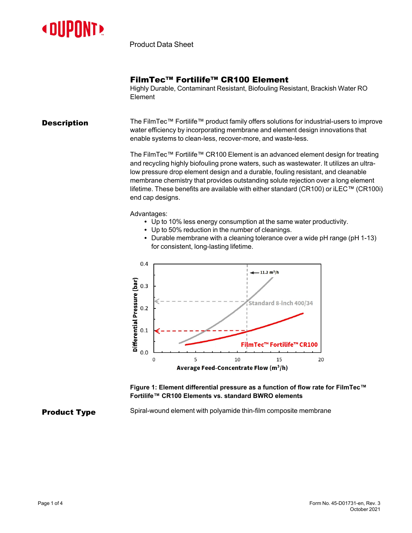

Product Data Sheet

## FilmTec™ Fortilife™ CR100 Element

Highly Durable, Contaminant Resistant, Biofouling Resistant, Brackish Water RO Element

**Description** The FilmTec™ Fortilife™ product family offers solutions for industrial-users to improve water efficiency by incorporating membrane and element design innovations that enable systems to clean-less, recover-more, and waste-less.

> The FilmTec™ Fortilife™ CR100 Element is an advanced element design for treating and recycling highly biofouling prone waters, such as wastewater. It utilizes an ultralow pressure drop element design and a durable, fouling resistant, and cleanable membrane chemistry that provides outstanding solute rejection over a long element lifetime. These benefits are available with either standard (CR100) or iLEC™ (CR100i) end cap designs.

Advantages:

- Up to 10% less energy consumption at the same water productivity.
- Up to 50% reduction in the number of cleanings.
- Durable membrane with a cleaning tolerance over a wide  $pH$  range ( $pH$  1-13) for consistent, long-lasting lifetime.



**Figure 1: Element differential pressure as a function of flow rate for FilmTec™ Fortilife™ CR100 Elements vs. standard BWRO elements**

## **Product Type** Spiral-wound element with polyamide thin-film composite membrane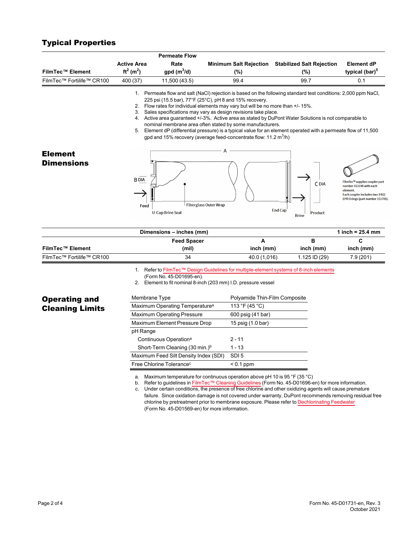## Typical Properties

|                           |                                   | <b>Permeate Flow</b>                                    |                                                                                                                                                                                                                                                                                                   |                                                                                                                                                                                                                                                                                                                                            |                                                                                                                                               |
|---------------------------|-----------------------------------|---------------------------------------------------------|---------------------------------------------------------------------------------------------------------------------------------------------------------------------------------------------------------------------------------------------------------------------------------------------------|--------------------------------------------------------------------------------------------------------------------------------------------------------------------------------------------------------------------------------------------------------------------------------------------------------------------------------------------|-----------------------------------------------------------------------------------------------------------------------------------------------|
|                           | <b>Active Area</b>                | Rate                                                    | Minimum Salt Rejection                                                                                                                                                                                                                                                                            | <b>Stabilized Salt Rejection</b>                                                                                                                                                                                                                                                                                                           | <b>Element dP</b>                                                                                                                             |
| <b>FilmTec™ Element</b>   | $ft^2$ (m <sup>2</sup> )          | $gpd(m^3/d)$                                            | (%)                                                                                                                                                                                                                                                                                               | (%)                                                                                                                                                                                                                                                                                                                                        | typical (bar) <sup>5</sup>                                                                                                                    |
| FilmTec™ Fortilife™ CR100 | 400 (37)                          | 11,500 (43.5)                                           | 99.4                                                                                                                                                                                                                                                                                              | 99.7                                                                                                                                                                                                                                                                                                                                       | 0.1                                                                                                                                           |
|                           |                                   | 225 psi (15.5 bar), 77°F (25°C), pH 8 and 15% recovery. | 2. Flow rates for individual elements may vary but will be no more than +/- 15%.<br>3. Sales specifications may vary as design revisions take place.<br>nominal membrane area often stated by some manufacturers.<br>gpd and 15% recovery (average feed-concentrate flow: 11.2 m <sup>3</sup> /h) | 1. Permeate flow and salt (NaCl) rejection is based on the following standard test conditions: 2,000 ppm NaCl,<br>4. Active area guaranteed +/-3%. Active area as stated by DuPont Water Solutions is not comparable to<br>5. Element dP (differential pressure) is a typical value for an element operated with a permeate flow of 11,500 |                                                                                                                                               |
| <b>Element</b>            |                                   |                                                         | A                                                                                                                                                                                                                                                                                                 |                                                                                                                                                                                                                                                                                                                                            |                                                                                                                                               |
| <b>Dimensions</b>         | <b>BDIA</b><br>Feed               | <b>Fiberglass Outer Wrap</b><br><b>U-Cup Brine Seal</b> |                                                                                                                                                                                                                                                                                                   | C DIA<br>End Cap<br>Product<br><b>Brine</b>                                                                                                                                                                                                                                                                                                | FilmTec™ supplies coupler part<br>number 313198 with each<br>element.<br>Each coupler includes two 3-912<br>EPR O-rings (part number 151705). |
|                           |                                   | Dimensions - inches (mm)                                |                                                                                                                                                                                                                                                                                                   |                                                                                                                                                                                                                                                                                                                                            | 1 inch = $25.4$ mm                                                                                                                            |
|                           |                                   | <b>Feed Spacer</b>                                      | A                                                                                                                                                                                                                                                                                                 | в                                                                                                                                                                                                                                                                                                                                          | C                                                                                                                                             |
| <b>FilmTec™ Element</b>   |                                   | (mil)                                                   | inch (mm)                                                                                                                                                                                                                                                                                         | inch (mm)                                                                                                                                                                                                                                                                                                                                  | inch (mm)                                                                                                                                     |
| FilmTec™ Fortilife™ CR100 |                                   | 34                                                      | 40.0 (1,016)                                                                                                                                                                                                                                                                                      | 1.125 ID (29)                                                                                                                                                                                                                                                                                                                              | 7.9(201)                                                                                                                                      |
|                           |                                   | (Form No. 45-D01695-en).                                | 2. Element to fit nominal 8-inch (203 mm) I.D. pressure vessel                                                                                                                                                                                                                                    | 1. Refer to FilmTec™ Design Guidelines for multiple-element systems of 8-inch elements                                                                                                                                                                                                                                                     |                                                                                                                                               |
| <b>Operating and</b>      |                                   | Polyamide Thin-Film Composite<br>Membrane Type          |                                                                                                                                                                                                                                                                                                   |                                                                                                                                                                                                                                                                                                                                            |                                                                                                                                               |
| <b>Cleaning Limits</b>    |                                   | Maximum Operating Temperature <sup>a</sup>              |                                                                                                                                                                                                                                                                                                   |                                                                                                                                                                                                                                                                                                                                            |                                                                                                                                               |
|                           | Maximum Operating Pressure        |                                                         | 600 psig (41 bar)                                                                                                                                                                                                                                                                                 |                                                                                                                                                                                                                                                                                                                                            |                                                                                                                                               |
|                           | Maximum Element Pressure Drop     |                                                         | 15 psig (1.0 bar)                                                                                                                                                                                                                                                                                 |                                                                                                                                                                                                                                                                                                                                            |                                                                                                                                               |
|                           | pH Range                          |                                                         |                                                                                                                                                                                                                                                                                                   |                                                                                                                                                                                                                                                                                                                                            |                                                                                                                                               |
|                           | Continuous Operation <sup>a</sup> |                                                         | $2 - 11$                                                                                                                                                                                                                                                                                          |                                                                                                                                                                                                                                                                                                                                            |                                                                                                                                               |
|                           |                                   | Short-Term Cleaning (30 min.) <sup>b</sup><br>$1 - 13$  |                                                                                                                                                                                                                                                                                                   |                                                                                                                                                                                                                                                                                                                                            |                                                                                                                                               |
|                           |                                   | Maximum Feed Silt Density Index (SDI)                   | SDI <sub>5</sub>                                                                                                                                                                                                                                                                                  |                                                                                                                                                                                                                                                                                                                                            |                                                                                                                                               |
|                           |                                   | Free Chlorine Tolerance <sup>c</sup>                    | $< 0.1$ ppm                                                                                                                                                                                                                                                                                       |                                                                                                                                                                                                                                                                                                                                            |                                                                                                                                               |

a. Maximum temperature for continuous operation above pH 10 is 95 °F (35 °C)

b. Refer to guidelines in FilmTec™ Cleaning [Guidelines](https://www.dupont.com/content/dam/dupont/amer/us/en/water-solutions/public/documents/en/RO-NF-FilmTec-Cleaning-Procedures-Manual-Exc-45-D01696-en.pdf) (Form No. 45-D01696-en) for more information.

c. Under certain conditions, the presence of free chlorine and other oxidizing agents will cause premature failure. Since oxidation damage is not covered under warranty, DuPont recommends removing residual free chlorine by pretreatment prior to membrane exposure. Please refer to [Dechlorinating](https://www.dupont.com/content/dam/dupont/amer/us/en/water-solutions/public/documents/en/RO-NF-FilmTec-Chlorination-Dechlorination-Manual-Exc-45-D01569-en.pdf) Feedwater (Form No. 45-D01569-en) for more information.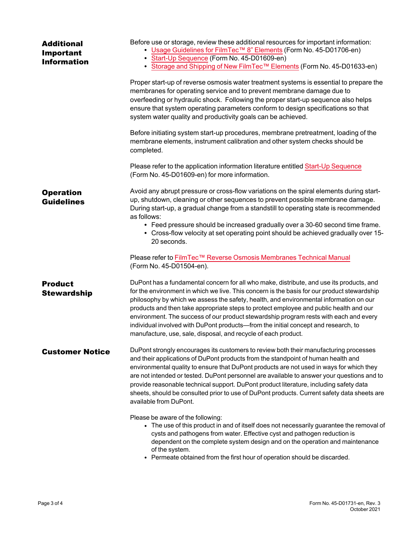| <b>Additional</b><br>Important<br><b>Information</b> | Before use or storage, review these additional resources for important information:<br>• Usage Guidelines for FilmTec™ 8" Elements (Form No. 45-D01706-en)<br>Start-Up Sequence (Form No. 45-D01609-en)<br>• Storage and Shipping of New FilmTec™ Elements (Form No. 45-D01633-en)                                                                                                                                                                                                                                                                                                                                           |
|------------------------------------------------------|------------------------------------------------------------------------------------------------------------------------------------------------------------------------------------------------------------------------------------------------------------------------------------------------------------------------------------------------------------------------------------------------------------------------------------------------------------------------------------------------------------------------------------------------------------------------------------------------------------------------------|
|                                                      | Proper start-up of reverse osmosis water treatment systems is essential to prepare the<br>membranes for operating service and to prevent membrane damage due to<br>overfeeding or hydraulic shock. Following the proper start-up sequence also helps<br>ensure that system operating parameters conform to design specifications so that<br>system water quality and productivity goals can be achieved.                                                                                                                                                                                                                     |
|                                                      | Before initiating system start-up procedures, membrane pretreatment, loading of the<br>membrane elements, instrument calibration and other system checks should be<br>completed.                                                                                                                                                                                                                                                                                                                                                                                                                                             |
|                                                      | Please refer to the application information literature entitled Start-Up Sequence<br>(Form No. 45-D01609-en) for more information.                                                                                                                                                                                                                                                                                                                                                                                                                                                                                           |
| <b>Operation</b><br><b>Guidelines</b>                | Avoid any abrupt pressure or cross-flow variations on the spiral elements during start-<br>up, shutdown, cleaning or other sequences to prevent possible membrane damage.<br>During start-up, a gradual change from a standstill to operating state is recommended<br>as follows:<br>• Feed pressure should be increased gradually over a 30-60 second time frame.<br>• Cross-flow velocity at set operating point should be achieved gradually over 15-<br>20 seconds.                                                                                                                                                      |
|                                                      | Please refer to FilmTec™ Reverse Osmosis Membranes Technical Manual<br>(Form No. 45-D01504-en).                                                                                                                                                                                                                                                                                                                                                                                                                                                                                                                              |
| <b>Product</b><br><b>Stewardship</b>                 | DuPont has a fundamental concern for all who make, distribute, and use its products, and<br>for the environment in which we live. This concern is the basis for our product stewardship<br>philosophy by which we assess the safety, health, and environmental information on our<br>products and then take appropriate steps to protect employee and public health and our<br>environment. The success of our product stewardship program rests with each and every<br>individual involved with DuPont products-from the initial concept and research, to<br>manufacture, use, sale, disposal, and recycle of each product. |
| <b>Customer Notice</b>                               | DuPont strongly encourages its customers to review both their manufacturing processes<br>and their applications of DuPont products from the standpoint of human health and<br>environmental quality to ensure that DuPont products are not used in ways for which they<br>are not intended or tested. DuPont personnel are available to answer your questions and to<br>provide reasonable technical support. DuPont product literature, including safety data<br>sheets, should be consulted prior to use of DuPont products. Current safety data sheets are<br>available from DuPont.                                      |
|                                                      | Please be aware of the following:<br>• The use of this product in and of itself does not necessarily guarantee the removal of<br>cysts and pathogens from water. Effective cyst and pathogen reduction is<br>dependent on the complete system design and on the operation and maintenance<br>of the system.<br>• Permeate obtained from the first hour of operation should be discarded.                                                                                                                                                                                                                                     |